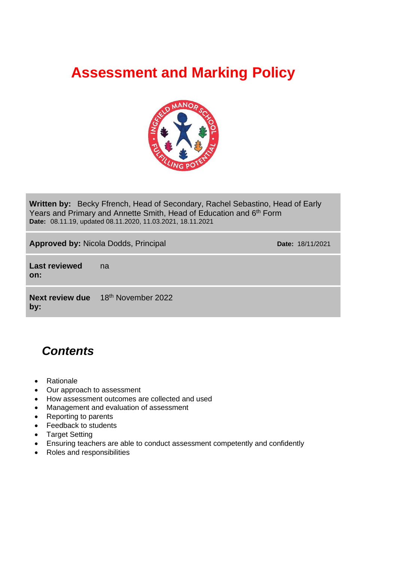# **Assessment and Marking Policy**



**Written by:** Becky Ffrench, Head of Secondary, Rachel Sebastino, Head of Early Years and Primary and Annette Smith, Head of Education and 6<sup>th</sup> Form **Date:** 08.11.19, updated 08.11.2020, 11.03.2021, 18.11.2021

**Approved by: Nicola Dodds, Principal <b>Date:** 18/11/2021

**Last reviewed on:** na

**Next review due by:** 18 th November 2022

# *Contents*

- Rationale
- Our approach to assessment
- How assessment outcomes are collected and used
- Management and evaluation of assessment
- Reporting to parents
- Feedback to students
- Target Setting
- Ensuring teachers are able to conduct assessment competently and confidently
- Roles and responsibilities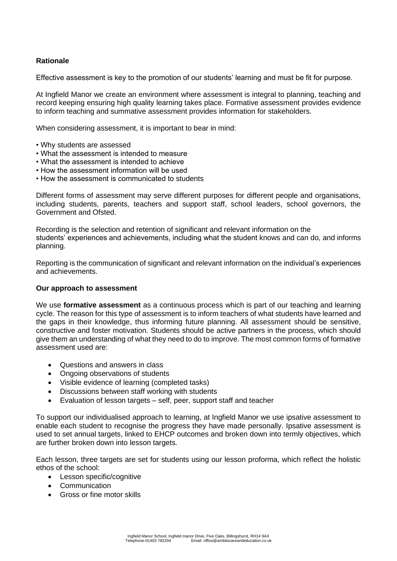# **Rationale**

Effective assessment is key to the promotion of our students' learning and must be fit for purpose.

At Ingfield Manor we create an environment where assessment is integral to planning, teaching and record keeping ensuring high quality learning takes place. Formative assessment provides evidence to inform teaching and summative assessment provides information for stakeholders.

When considering assessment, it is important to bear in mind:

- Why students are assessed
- What the assessment is intended to measure
- What the assessment is intended to achieve
- How the assessment information will be used
- How the assessment is communicated to students

Different forms of assessment may serve different purposes for different people and organisations, including students, parents, teachers and support staff, school leaders, school governors, the Government and Ofsted.

Recording is the selection and retention of significant and relevant information on the students' experiences and achievements, including what the student knows and can do, and informs planning.

Reporting is the communication of significant and relevant information on the individual's experiences and achievements.

# **Our approach to assessment**

We use **formative assessment** as a continuous process which is part of our teaching and learning cycle. The reason for this type of assessment is to inform teachers of what students have learned and the gaps in their knowledge, thus informing future planning. All assessment should be sensitive, constructive and foster motivation. Students should be active partners in the process, which should give them an understanding of what they need to do to improve. The most common forms of formative assessment used are:

- Questions and answers in class
- Ongoing observations of students
- Visible evidence of learning (completed tasks)
- Discussions between staff working with students
- Evaluation of lesson targets self, peer, support staff and teacher

To support our individualised approach to learning, at Ingfield Manor we use ipsative assessment to enable each student to recognise the progress they have made personally. Ipsative assessment is used to set annual targets, linked to EHCP outcomes and broken down into termly objectives, which are further broken down into lesson targets.

Each lesson, three targets are set for students using our lesson proforma, which reflect the holistic ethos of the school:

- Lesson specific/cognitive
- Communication
- Gross or fine motor skills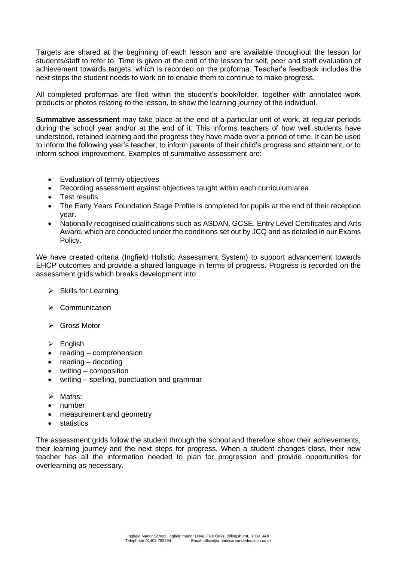Targets are shared at the beginning of each lesson and are available throughout the lesson for students/staff to refer to. Time is given at the end of the lesson for self, peer and staff evaluation of achievement towards targets, which is recorded on the proforma. Teacher's feedback includes the next steps the student needs to work on to enable them to continue to make progress.

All completed proformas are filed within the student's book/folder, together with annotated work products or photos relating to the lesson, to show the learning journey of the individual.

**Summative assessment** may take place at the end of a particular unit of work, at regular periods during the school year and/or at the end of it. This informs teachers of how well students have understood, retained learning and the progress they have made over a period of time. It can be used to inform the following year's teacher, to inform parents of their child's progress and attainment, or to inform school improvement. Examples of summative assessment are:

- Evaluation of termly objectives
- Recording assessment against objectives taught within each curriculum area
- Test results
- The Early Years Foundation Stage Profile is completed for pupils at the end of their reception year.
- Nationally recognised qualifications such as ASDAN, GCSE, Entry Level Certificates and Arts Award, which are conducted under the conditions set out by JCQ and as detailed in our Exams Policy.

We have created criteria (Ingfield Holistic Assessment System) to support advancement towards EHCP outcomes and provide a shared language in terms of progress. Progress is recorded on the assessment grids which breaks development into:

- ➢ Skills for Learning
- ➢ Communication
- ➢ Gross Motor
- ➢ English
- reading comprehension
- reading decoding
- writing composition
- writing spelling, punctuation and grammar
- ➢ Maths:
- number
- measurement and geometry
- statistics

The assessment grids follow the student through the school and therefore show their achievements, their learning journey and the next steps for progress. When a student changes class, their new teacher has all the information needed to plan for progression and provide opportunities for overlearning as necessary.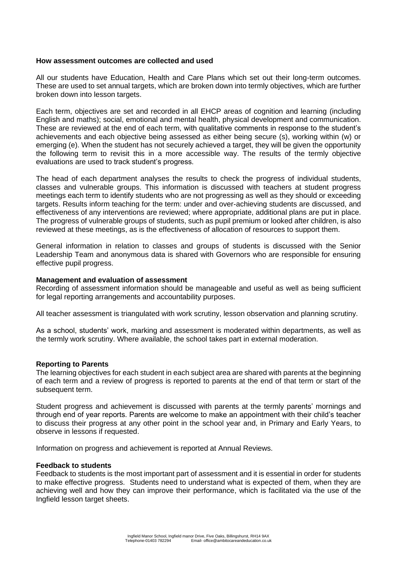# **How assessment outcomes are collected and used**

All our students have Education, Health and Care Plans which set out their long-term outcomes. These are used to set annual targets, which are broken down into termly objectives, which are further broken down into lesson targets.

Each term, objectives are set and recorded in all EHCP areas of cognition and learning (including English and maths); social, emotional and mental health, physical development and communication. These are reviewed at the end of each term, with qualitative comments in response to the student's achievements and each objective being assessed as either being secure (s), working within (w) or emerging (e). When the student has not securely achieved a target, they will be given the opportunity the following term to revisit this in a more accessible way. The results of the termly objective evaluations are used to track student's progress.

The head of each department analyses the results to check the progress of individual students, classes and vulnerable groups. This information is discussed with teachers at student progress meetings each term to identify students who are not progressing as well as they should or exceeding targets. Results inform teaching for the term: under and over-achieving students are discussed, and effectiveness of any interventions are reviewed; where appropriate, additional plans are put in place. The progress of vulnerable groups of students, such as pupil premium or looked after children, is also reviewed at these meetings, as is the effectiveness of allocation of resources to support them.

General information in relation to classes and groups of students is discussed with the Senior Leadership Team and anonymous data is shared with Governors who are responsible for ensuring effective pupil progress.

### **Management and evaluation of assessment**

Recording of assessment information should be manageable and useful as well as being sufficient for legal reporting arrangements and accountability purposes.

All teacher assessment is triangulated with work scrutiny, lesson observation and planning scrutiny.

As a school, students' work, marking and assessment is moderated within departments, as well as the termly work scrutiny. Where available, the school takes part in external moderation.

# **Reporting to Parents**

The learning objectives for each student in each subject area are shared with parents at the beginning of each term and a review of progress is reported to parents at the end of that term or start of the subsequent term.

Student progress and achievement is discussed with parents at the termly parents' mornings and through end of year reports. Parents are welcome to make an appointment with their child's teacher to discuss their progress at any other point in the school year and, in Primary and Early Years, to observe in lessons if requested.

Information on progress and achievement is reported at Annual Reviews.

#### **Feedback to students**

Feedback to students is the most important part of assessment and it is essential in order for students to make effective progress. Students need to understand what is expected of them, when they are achieving well and how they can improve their performance, which is facilitated via the use of the Ingfield lesson target sheets.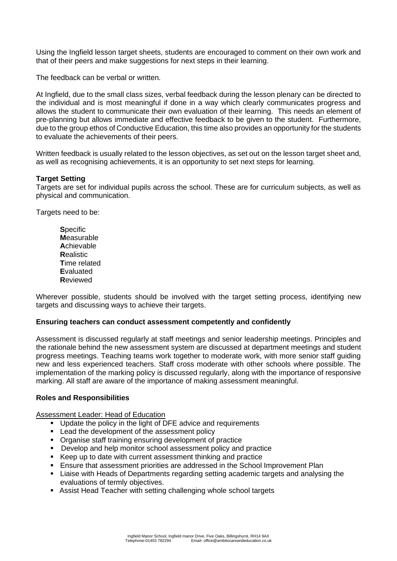Using the Ingfield lesson target sheets, students are encouraged to comment on their own work and that of their peers and make suggestions for next steps in their learning.

The feedback can be verbal or written.

At Ingfield, due to the small class sizes, verbal feedback during the lesson plenary can be directed to the individual and is most meaningful if done in a way which clearly communicates progress and allows the student to communicate their own evaluation of their learning. This needs an element of pre-planning but allows immediate and effective feedback to be given to the student. Furthermore, due to the group ethos of Conductive Education, this time also provides an opportunity for the students to evaluate the achievements of their peers.

Written feedback is usually related to the lesson objectives, as set out on the lesson target sheet and, as well as recognising achievements, it is an opportunity to set next steps for learning.

# **Target Setting**

Targets are set for individual pupils across the school. These are for curriculum subjects, as well as physical and communication.

Targets need to be:

**S**pecific **M**easurable **A**chievable **R**ealistic **T**ime related **E**valuated **R**eviewed

Wherever possible, students should be involved with the target setting process, identifying new targets and discussing ways to achieve their targets.

# **Ensuring teachers can conduct assessment competently and confidently**

Assessment is discussed regularly at staff meetings and senior leadership meetings. Principles and the rationale behind the new assessment system are discussed at department meetings and student progress meetings. Teaching teams work together to moderate work, with more senior staff guiding new and less experienced teachers. Staff cross moderate with other schools where possible. The implementation of the marking policy is discussed regularly, along with the importance of responsive marking. All staff are aware of the importance of making assessment meaningful.

# **Roles and Responsibilities**

Assessment Leader: Head of Education

- Update the policy in the light of DFE advice and requirements
- Lead the development of the assessment policy
- Organise staff training ensuring development of practice
- Develop and help monitor school assessment policy and practice
- Keep up to date with current assessment thinking and practice
- Ensure that assessment priorities are addressed in the School Improvement Plan
- Liaise with Heads of Departments regarding setting academic targets and analysing the evaluations of termly objectives.
- Assist Head Teacher with setting challenging whole school targets